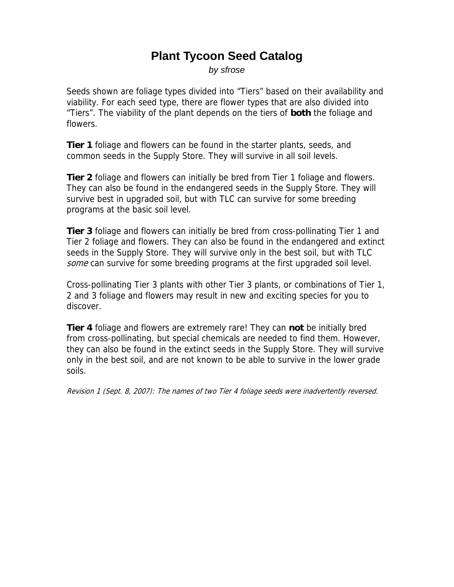## **Plant Tycoon Seed Catalog**

*by sfrose* 

Seeds shown are foliage types divided into "Tiers" based on their availability and viability. For each seed type, there are flower types that are also divided into "Tiers". The viability of the plant depends on the tiers of **both** the foliage and flowers.

**Tier 1** foliage and flowers can be found in the starter plants, seeds, and common seeds in the Supply Store. They will survive in all soil levels.

**Tier 2** foliage and flowers can initially be bred from Tier 1 foliage and flowers. They can also be found in the endangered seeds in the Supply Store. They will survive best in upgraded soil, but with TLC can survive for some breeding programs at the basic soil level.

**Tier 3** foliage and flowers can initially be bred from cross-pollinating Tier 1 and Tier 2 foliage and flowers. They can also be found in the endangered and extinct seeds in the Supply Store. They will survive only in the best soil, but with TLC some can survive for some breeding programs at the first upgraded soil level.

Cross-pollinating Tier 3 plants with other Tier 3 plants, or combinations of Tier 1, 2 and 3 foliage and flowers may result in new and exciting species for you to discover.

**Tier 4** foliage and flowers are extremely rare! They can **not** be initially bred from cross-pollinating, but special chemicals are needed to find them. However, they can also be found in the extinct seeds in the Supply Store. They will survive only in the best soil, and are not known to be able to survive in the lower grade soils.

Revision 1 (Sept. 8, 2007): The names of two Tier 4 foliage seeds were inadvertently reversed.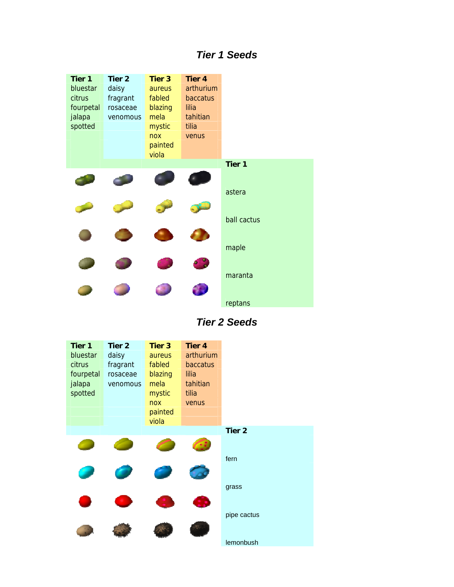## *Tier 1 Seeds*

| Tier 1    | Tier <sub>2</sub> | Tier <sub>3</sub> | Tier 4    |                   |
|-----------|-------------------|-------------------|-----------|-------------------|
| bluestar  | daisy             | <b>aureus</b>     | arthurium |                   |
| citrus    | fragrant          | fabled            | baccatus  |                   |
| fourpetal | rosaceae          | blazing           | lilia     |                   |
| jalapa    | venomous          | mela              | tahitian  |                   |
| spotted   |                   | mystic            | tilia     |                   |
|           |                   | nox               | venus     |                   |
|           |                   | painted           |           |                   |
|           |                   | viola             |           |                   |
|           |                   |                   |           | Tier <sub>1</sub> |
|           |                   |                   |           |                   |
|           |                   |                   |           |                   |
|           |                   |                   |           | astera            |
|           |                   |                   |           |                   |
|           |                   |                   |           |                   |
|           |                   |                   |           | ball cactus       |
|           |                   |                   |           |                   |
|           |                   |                   |           | maple             |
|           |                   |                   |           |                   |
|           |                   |                   |           |                   |
|           |                   |                   |           | maranta           |
|           |                   |                   |           |                   |
|           |                   |                   |           |                   |
|           |                   |                   |           | reptans           |

*Tier 2 Seeds*

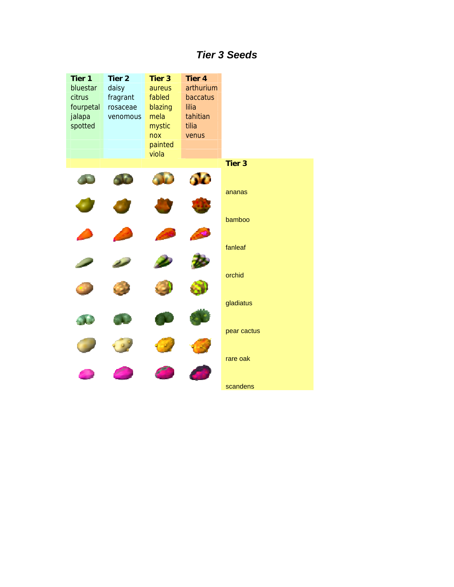## *Tier 3 Seeds*

| Tier 1<br>bluestar<br>citrus<br>fourpetal<br>jalapa<br>spotted | Tier <sub>2</sub><br>daisy<br>fragrant<br>rosaceae<br>venomous | <b>Tier 3</b><br>aureus<br>fabled<br>blazing<br>mela<br>mystic<br>nox<br>painted | <b>Tier 4</b><br>arthurium<br>baccatus<br>lilia<br>tahitian<br>tilia<br>venus |                      |
|----------------------------------------------------------------|----------------------------------------------------------------|----------------------------------------------------------------------------------|-------------------------------------------------------------------------------|----------------------|
|                                                                |                                                                | viola                                                                            |                                                                               |                      |
|                                                                |                                                                |                                                                                  |                                                                               | <b>Tier 3</b>        |
|                                                                |                                                                |                                                                                  | <b>AD</b>                                                                     | ananas               |
|                                                                |                                                                |                                                                                  |                                                                               | bamboo               |
|                                                                |                                                                |                                                                                  |                                                                               | fanleaf              |
|                                                                |                                                                |                                                                                  |                                                                               | orchid               |
|                                                                |                                                                |                                                                                  |                                                                               | gladiatus            |
|                                                                |                                                                |                                                                                  |                                                                               | pear cactus          |
|                                                                |                                                                |                                                                                  |                                                                               | rare oak<br>scandens |
|                                                                |                                                                |                                                                                  |                                                                               |                      |